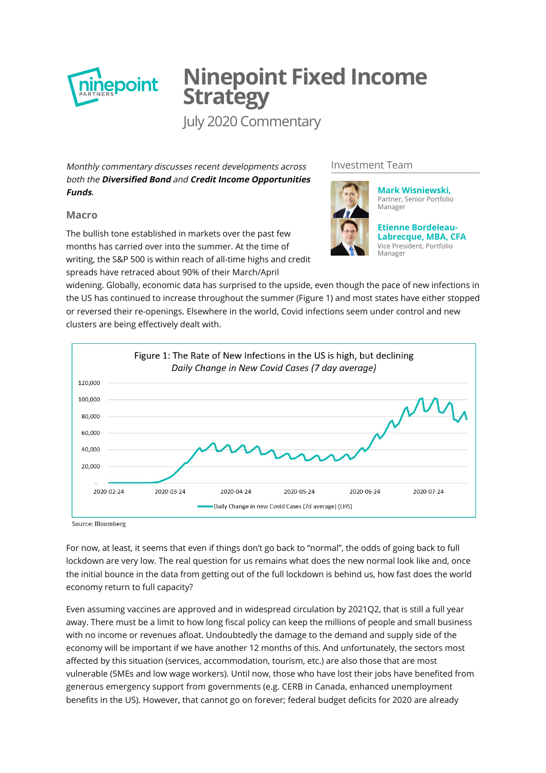

# **Ninepoint Fixed Income Strategy**

July 2020 Commentary

Monthly commentary discusses recent developments across both the **Diversified Bond** and **Credit Income Opportunities Funds**.

# **Macro**

The bullish tone established in markets over the past few months has carried over into the summer. At the time of writing, the S&P 500 is within reach of all-time highs and credit spreads have retraced about 90% of their March/April

#### Investment Team



**[Mark Wisniewski,](http://cms1.ninepoint.com/about-ninepoint/leadership/investment-team/ninepoint/mark-wisniewski/)** Partner, Senior Portfolio Manager

**Etienne Bordeleau-[Labrecque, MBA, CFA](http://cms1.ninepoint.com/about-ninepoint/leadership/investment-team/ninepoint/etienne-bordeleau-labrecque/)** Vice President, Portfolio Manager

widening. Globally, economic data has surprised to the upside, even though the pace of new infections in the US has continued to increase throughout the summer (Figure 1) and most states have either stopped or reversed their re-openings. Elsewhere in the world, Covid infections seem under control and new clusters are being effectively dealt with.



Source: Bloomberg

For now, at least, it seems that even if things don't go back to "normal", the odds of going back to full lockdown are very low. The real question for us remains what does the new normal look like and, once the initial bounce in the data from getting out of the full lockdown is behind us, how fast does the world economy return to full capacity?

Even assuming vaccines are approved and in widespread circulation by 2021Q2, that is still a full year away. There must be a limit to how long fiscal policy can keep the millions of people and small business with no income or revenues afloat. Undoubtedly the damage to the demand and supply side of the economy will be important if we have another 12 months of this. And unfortunately, the sectors most affected by this situation (services, accommodation, tourism, etc.) are also those that are most vulnerable (SMEs and low wage workers). Until now, those who have lost their jobs have benefited from generous emergency support from governments (e.g. CERB in Canada, enhanced unemployment benefits in the US). However, that cannot go on forever; federal budget deficits for 2020 are already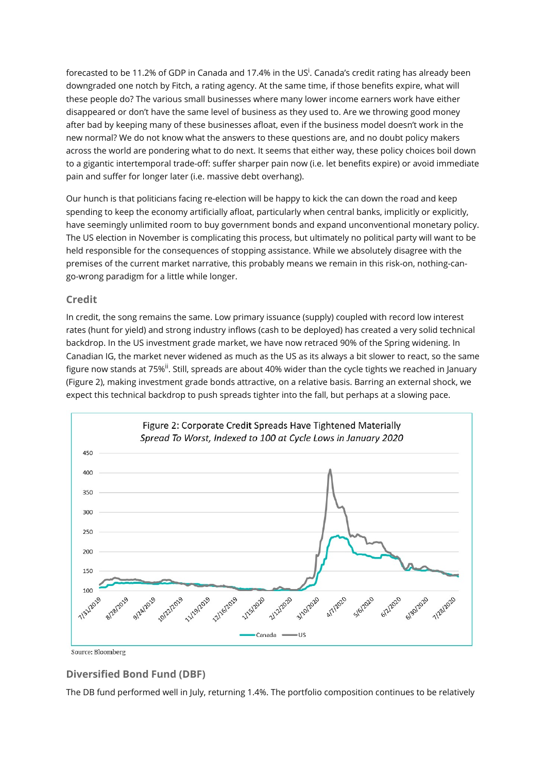forecasted to be 11.2% of GDP in Canada and 17.4% in the US<sup>i</sup>. Canada's credit rating has already been downgraded one notch by Fitch, a rating agency. At the same time, if those benefits expire, what will these people do? The various small businesses where many lower income earners work have either disappeared or don't have the same level of business as they used to. Are we throwing good money after bad by keeping many of these businesses afloat, even if the business model doesn't work in the new normal? We do not know what the answers to these questions are, and no doubt policy makers across the world are pondering what to do next. It seems that either way, these policy choices boil down to a gigantic intertemporal trade-off: suffer sharper pain now (i.e. let benefits expire) or avoid immediate pain and suffer for longer later (i.e. massive debt overhang).

Our hunch is that politicians facing re-election will be happy to kick the can down the road and keep spending to keep the economy artificially afloat, particularly when central banks, implicitly or explicitly, have seemingly unlimited room to buy government bonds and expand unconventional monetary policy. The US election in November is complicating this process, but ultimately no political party will want to be held responsible for the consequences of stopping assistance. While we absolutely disagree with the premises of the current market narrative, this probably means we remain in this risk-on, nothing-cango-wrong paradigm for a little while longer.

# **Credit**

In credit, the song remains the same. Low primary issuance (supply) coupled with record low interest rates (hunt for yield) and strong industry inflows (cash to be deployed) has created a very solid technical backdrop. In the US investment grade market, we have now retraced 90% of the Spring widening. In Canadian IG, the market never widened as much as the US as its always a bit slower to react, so the same figure now stands at 75%<sup>ii</sup>. Still, spreads are about 40% wider than the cycle tights we reached in January (Figure 2), making investment grade bonds attractive, on a relative basis. Barring an external shock, we expect this technical backdrop to push spreads tighter into the fall, but perhaps at a slowing pace.



Source: Bloomberg

# **Diversified Bond Fund (DBF)**

The DB fund performed well in July, returning 1.4%. The portfolio composition continues to be relatively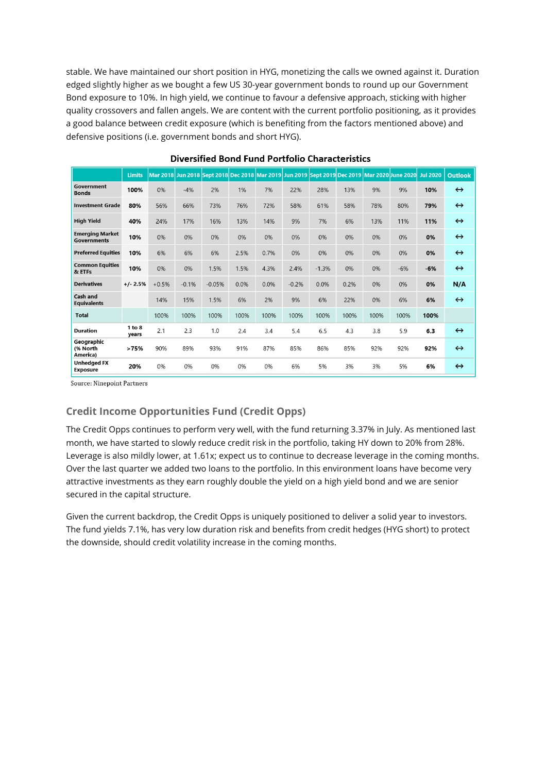stable. We have maintained our short position in HYG, monetizing the calls we owned against it. Duration edged slightly higher as we bought a few US 30-year government bonds to round up our Government Bond exposure to 10%. In high yield, we continue to favour a defensive approach, sticking with higher quality crossovers and fallen angels. We are content with the current portfolio positioning, as it provides a good balance between credit exposure (which is benefiting from the factors mentioned above) and defensive positions (i.e. government bonds and short HYG).

|                                              | <b>Limits</b>   |         |         |          |      |      |         |         |      |      | Mar 2018 Jun 2018 Sept 2018 Dec 2018 Mar 2019 Jun 2019 Sept 2019 Dec 2019 Mar 2020 June 2020 | <b>Jul 2020</b> | <b>Outlook</b>    |
|----------------------------------------------|-----------------|---------|---------|----------|------|------|---------|---------|------|------|----------------------------------------------------------------------------------------------|-----------------|-------------------|
| Government<br><b>Bonds</b>                   | 100%            | 0%      | $-4%$   | 2%       | 1%   | 7%   | 22%     | 28%     | 13%  | 9%   | 9%                                                                                           | 10%             | $\leftrightarrow$ |
| <b>Investment Grade</b>                      | 80%             | 56%     | 66%     | 73%      | 76%  | 72%  | 58%     | 61%     | 58%  | 78%  | 80%                                                                                          | 79%             | $\leftrightarrow$ |
| <b>High Yield</b>                            | 40%             | 24%     | 17%     | 16%      | 13%  | 14%  | 9%      | 7%      | 6%   | 13%  | 11%                                                                                          | 11%             | $\leftrightarrow$ |
| <b>Emerging Market</b><br><b>Governments</b> | 10%             | 0%      | 0%      | 0%       | 0%   | 0%   | 0%      | 0%      | 0%   | 0%   | 0%                                                                                           | 0%              | $\leftrightarrow$ |
| <b>Preferred Equities</b>                    | 10%             | 6%      | 6%      | 6%       | 2.5% | 0.7% | 0%      | 0%      | 0%   | 0%   | 0%                                                                                           | 0%              | $\leftrightarrow$ |
| <b>Common Equities</b><br>& ETFs             | 10%             | 0%      | 0%      | 1.5%     | 1.5% | 4.3% | 2.4%    | $-1.3%$ | 0%   | 0%   | $-6%$                                                                                        | $-6%$           | $\leftrightarrow$ |
| <b>Derivatives</b>                           | $+/- 2.5%$      | $+0.5%$ | $-0.1%$ | $-0.05%$ | 0.0% | 0.0% | $-0.2%$ | 0.0%    | 0.2% | 0%   | 0%                                                                                           | 0%              | N/A               |
| Cash and<br><b>Equivalents</b>               |                 | 14%     | 15%     | 1.5%     | 6%   | 2%   | 9%      | 6%      | 22%  | 0%   | 6%                                                                                           | 6%              | $\leftrightarrow$ |
| <b>Total</b>                                 |                 | 100%    | 100%    | 100%     | 100% | 100% | 100%    | 100%    | 100% | 100% | 100%                                                                                         | 100%            |                   |
| <b>Duration</b>                              | 1 to 8<br>vears | 2.1     | 2.3     | 1.0      | 2.4  | 3.4  | 5.4     | 6.5     | 4.3  | 3.8  | 5.9                                                                                          | 6.3             | $\leftrightarrow$ |
| Geographic<br>(% North<br>America)           | >75%            | 90%     | 89%     | 93%      | 91%  | 87%  | 85%     | 86%     | 85%  | 92%  | 92%                                                                                          | 92%             | $\leftrightarrow$ |
| <b>Unhedged FX</b><br><b>Exposure</b>        | 20%             | 0%      | 0%      | 0%       | 0%   | 0%   | 6%      | 5%      | 3%   | 3%   | 5%                                                                                           | 6%              | $\leftrightarrow$ |

# **Diversified Bond Fund Portfolio Characteristics**

Source: Ninepoint Partners

# **Credit Income Opportunities Fund (Credit Opps)**

The Credit Opps continues to perform very well, with the fund returning 3.37% in July. As mentioned last month, we have started to slowly reduce credit risk in the portfolio, taking HY down to 20% from 28%. Leverage is also mildly lower, at 1.61x; expect us to continue to decrease leverage in the coming months. Over the last quarter we added two loans to the portfolio. In this environment loans have become very attractive investments as they earn roughly double the yield on a high yield bond and we are senior secured in the capital structure.

Given the current backdrop, the Credit Opps is uniquely positioned to deliver a solid year to investors. The fund yields 7.1%, has very low duration risk and benefits from credit hedges (HYG short) to protect the downside, should credit volatility increase in the coming months.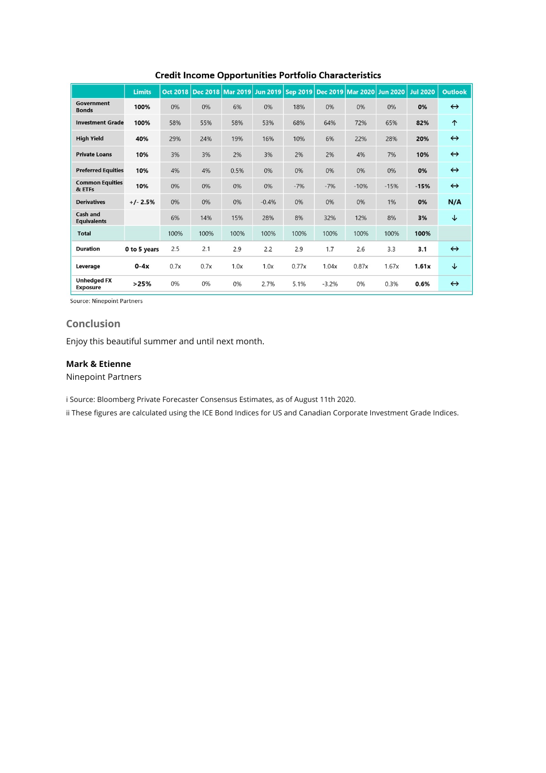|                                       | <b>Limits</b> | Oct 2018 |      |      |         |       |         | Dec 2018   Mar 2019   Jun 2019   Sep 2019   Dec 2019   Mar 2020   Jun 2020 |        | <b>Jul 2020</b> | <b>Outlook</b>    |
|---------------------------------------|---------------|----------|------|------|---------|-------|---------|----------------------------------------------------------------------------|--------|-----------------|-------------------|
| Government<br><b>Bonds</b>            | 100%          | 0%       | 0%   | 6%   | 0%      | 18%   | 0%      | 0%                                                                         | 0%     | 0%              | $\leftrightarrow$ |
| <b>Investment Grade</b>               | 100%          | 58%      | 55%  | 58%  | 53%     | 68%   | 64%     | 72%                                                                        | 65%    | 82%             | 个                 |
| <b>High Yield</b>                     | 40%           | 29%      | 24%  | 19%  | 16%     | 10%   | 6%      | 22%                                                                        | 28%    | 20%             | $\leftrightarrow$ |
| <b>Private Loans</b>                  | 10%           | 3%       | 3%   | 2%   | 3%      | 2%    | 2%      | 4%                                                                         | 7%     | 10%             | $\leftrightarrow$ |
| <b>Preferred Equities</b>             | 10%           | 4%       | 4%   | 0.5% | 0%      | 0%    | 0%      | 0%                                                                         | 0%     | 0%              | $\leftrightarrow$ |
| <b>Common Equities</b><br>& ETFs      | 10%           | 0%       | 0%   | 0%   | 0%      | $-7%$ | $-7%$   | $-10%$                                                                     | $-15%$ | $-15%$          | $\leftrightarrow$ |
| <b>Derivatives</b>                    | $+/- 2.5%$    | 0%       | 0%   | 0%   | $-0.4%$ | 0%    | 0%      | 0%                                                                         | 1%     | 0%              | N/A               |
| Cash and<br><b>Equivalents</b>        |               | 6%       | 14%  | 15%  | 28%     | 8%    | 32%     | 12%                                                                        | 8%     | 3%              | ↓                 |
| <b>Total</b>                          |               | 100%     | 100% | 100% | 100%    | 100%  | 100%    | 100%                                                                       | 100%   | 100%            |                   |
| <b>Duration</b>                       | 0 to 5 years  | 2.5      | 2.1  | 2.9  | 2.2     | 2.9   | 1.7     | 2.6                                                                        | 3.3    | 3.1             | $\leftrightarrow$ |
| Leverage                              | $0-4x$        | 0.7x     | 0.7x | 1.0x | 1.0x    | 0.77x | 1.04x   | 0.87x                                                                      | 1.67x  | 1.61x           | ↓                 |
| <b>Unhedged FX</b><br><b>Exposure</b> | >25%          | 0%       | 0%   | 0%   | 2.7%    | 5.1%  | $-3.2%$ | 0%                                                                         | 0.3%   | 0.6%            | $\leftrightarrow$ |

#### **Credit Income Opportunities Portfolio Characteristics**

Source: Ninepoint Partners

# **Conclusion**

Enjoy this beautiful summer and until next month.

#### **Mark & Etienne**

Ninepoint Partners

i Source: Bloomberg Private Forecaster Consensus Estimates, as of August 11th 2020.

ii These figures are calculated using the ICE Bond Indices for US and Canadian Corporate Investment Grade Indices.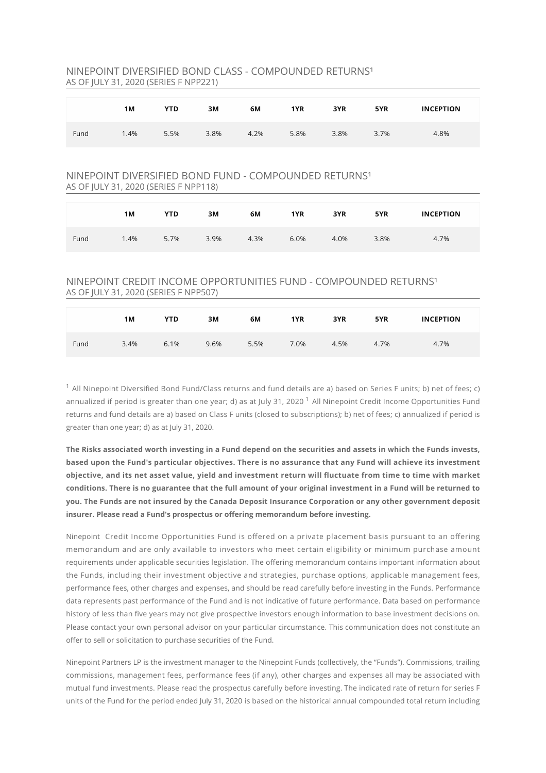#### NINEPOINT DIVERSIFIED BOND CLASS - COMPOUNDED RETURNS<sup>1</sup> AS OF JULY 31, 2020 (SERIES F NPP221)

|      | 1M  | <b>YTD</b> | 3M   | 6M   | 1YR  | 3YR  | 5YR  | <b>INCEPTION</b> |
|------|-----|------------|------|------|------|------|------|------------------|
| Fund | .4% | 5.5%       | 3.8% | 4.2% | 5.8% | 3.8% | 3.7% | 4.8%             |

#### NINEPOINT DIVERSIFIED BOND FUND - COMPOUNDED RETURNS<sup>1</sup> AS OF JULY 31, 2020 (SERIES F NPP118)

|      | 1M   | <b>YTD</b> | 3M   | 6М   | 1YR  | 3YR  | 5YR  | <b>INCEPTION</b> |
|------|------|------------|------|------|------|------|------|------------------|
| Fund | 1.4% | 5.7%       | 3.9% | 4.3% | 6.0% | 4.0% | 3.8% | 4.7%             |

# NINEPOINT CREDIT INCOME OPPORTUNITIES FUND - COMPOUNDED RETURNS<sup>1</sup> AS OF JULY 31, 2020 (SERIES F NPP507)

|      | 1M   | <b>YTD</b> | 3M   | 6M   | 1YR  | 3YR  | 5YR  | <b>INCEPTION</b> |
|------|------|------------|------|------|------|------|------|------------------|
| Fund | 3.4% | 6.1%       | 9.6% | 5.5% | 7.0% | 4.5% | 4.7% | 4.7%             |

 $^1$  All Ninepoint Diversified Bond Fund/Class returns and fund details are a) based on Series F units; b) net of fees; c) annualized if period is greater than one year; d) as at July 31, 2020  $^1$  All Ninepoint Credit Income Opportunities Fund returns and fund details are a) based on Class F units (closed to subscriptions); b) net of fees; c) annualized if period is greater than one year; d) as at July 31, 2020.

**The Risks associated worth investing in a Fund depend on the securities and assets in which the Funds invests, based upon the Fund's particular objectives. There is no assurance that any Fund will achieve its investment objective, and its net asset value, yield and investment return will uctuate from time to time with market conditions. There is no guarantee that the full amount of your original investment in a Fund will be returned to you. The Funds are not insured by the Canada Deposit Insurance Corporation or any other government deposit** insurer. Please read a Fund's prospectus or offering memorandum before investing.

Ninepoint Credit Income Opportunities Fund is offered on a private placement basis pursuant to an offering memorandum and are only available to investors who meet certain eligibility or minimum purchase amount requirements under applicable securities legislation. The offering memorandum contains important information about the Funds, including their investment objective and strategies, purchase options, applicable management fees, performance fees, other charges and expenses, and should be read carefully before investing in the Funds. Performance data represents past performance of the Fund and is not indicative of future performance. Data based on performance history of less than five years may not give prospective investors enough information to base investment decisions on. Please contact your own personal advisor on your particular circumstance. This communication does not constitute an offer to sell or solicitation to purchase securities of the Fund.

Ninepoint Partners LP is the investment manager to the Ninepoint Funds (collectively, the "Funds"). Commissions, trailing commissions, management fees, performance fees (if any), other charges and expenses all may be associated with mutual fund investments. Please read the prospectus carefully before investing. The indicated rate of return for series F units of the Fund for the period ended July 31, 2020 is based on the historical annual compounded total return including